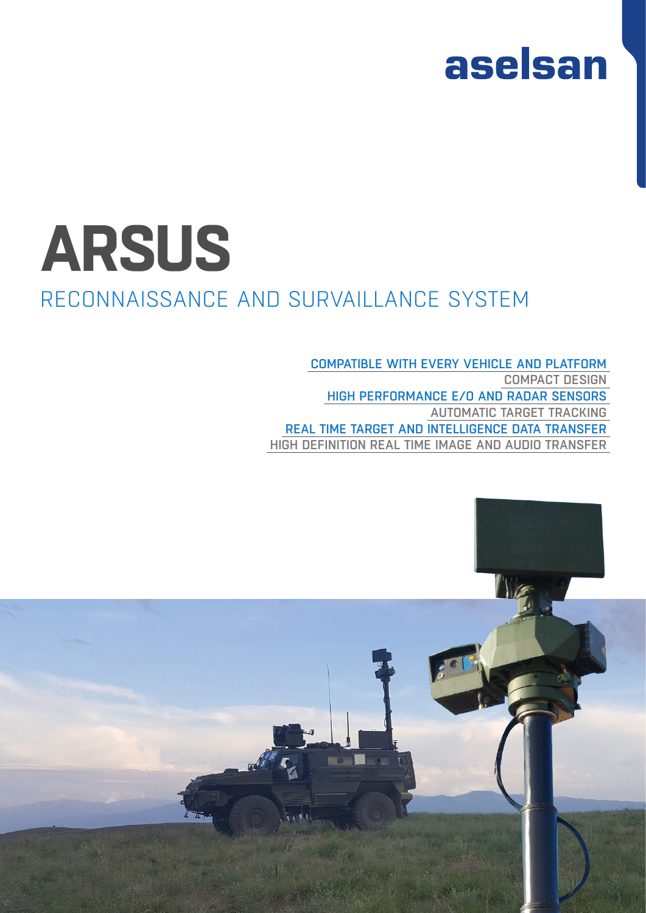

# **ARSUS**

## RECONNAISSANCE AND SURVAILLANCE SYSTEM

COMPATIBLE WITH EVERY VEHICLE AND PLATFORM COMPACT DESIGN HIGH PERFORMANCE E/O AND RADAR SENSORS AUTOMATIC TARGET TRACKING REAL TIME TARGET AND INTELLIGENCE DATA TRANSFER HIGH DEFINITION REAL TIME IMAGE AND AUDIO TRANSFER